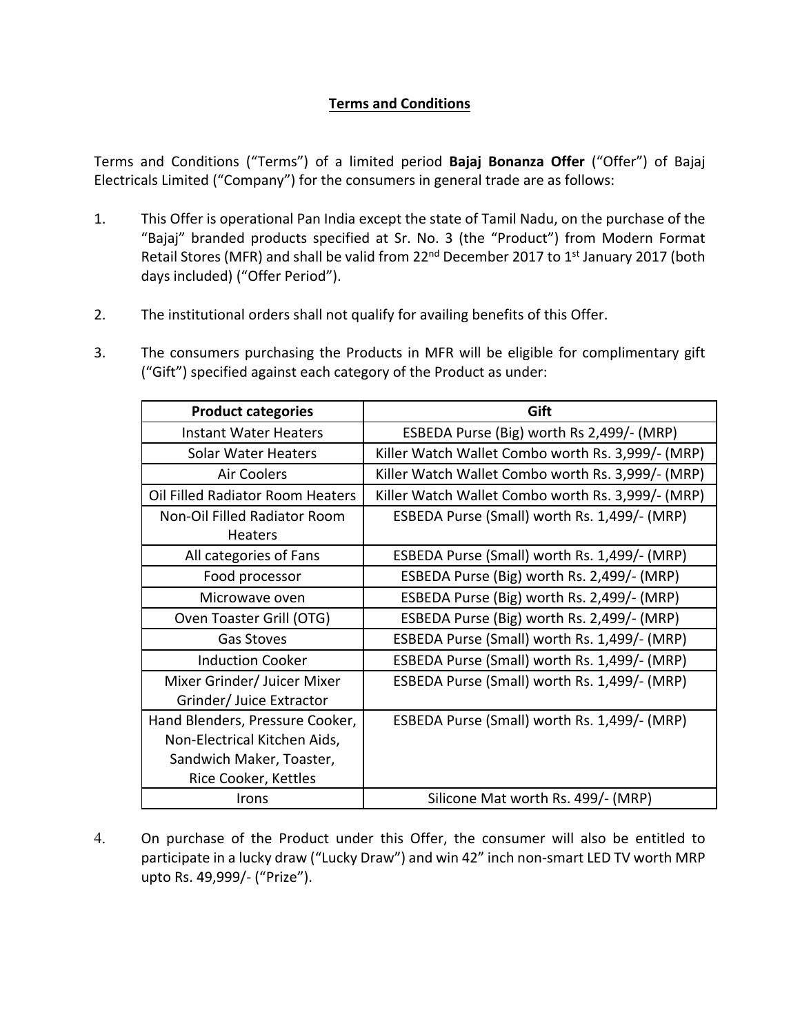## **Terms and Conditions**

Terms and Conditions ("Terms") of a limited period **Bajaj Bonanza Offer** ("Offer") of Bajaj Electricals Limited ("Company") for the consumers in general trade are as follows:

- 1. This Offer is operational Pan India except the state of Tamil Nadu, on the purchase of the "Bajaj" branded products specified at Sr. No. 3 (the "Product") from Modern Format Retail Stores (MFR) and shall be valid from 22<sup>nd</sup> December 2017 to 1<sup>st</sup> January 2017 (both days included) ("Offer Period").
- 2. The institutional orders shall not qualify for availing benefits of this Offer.
- 3. The consumers purchasing the Products in MFR will be eligible for complimentary gift ("Gift") specified against each category of the Product as under:

| <b>Product categories</b>        | Gift                                              |
|----------------------------------|---------------------------------------------------|
| <b>Instant Water Heaters</b>     | ESBEDA Purse (Big) worth Rs 2,499/- (MRP)         |
| Solar Water Heaters              | Killer Watch Wallet Combo worth Rs. 3,999/- (MRP) |
| <b>Air Coolers</b>               | Killer Watch Wallet Combo worth Rs. 3,999/- (MRP) |
| Oil Filled Radiator Room Heaters | Killer Watch Wallet Combo worth Rs. 3,999/- (MRP) |
| Non-Oil Filled Radiator Room     | ESBEDA Purse (Small) worth Rs. 1,499/- (MRP)      |
| <b>Heaters</b>                   |                                                   |
| All categories of Fans           | ESBEDA Purse (Small) worth Rs. 1,499/- (MRP)      |
| Food processor                   | ESBEDA Purse (Big) worth Rs. 2,499/- (MRP)        |
| Microwave oven                   | ESBEDA Purse (Big) worth Rs. 2,499/- (MRP)        |
| Oven Toaster Grill (OTG)         | ESBEDA Purse (Big) worth Rs. 2,499/- (MRP)        |
| <b>Gas Stoves</b>                | ESBEDA Purse (Small) worth Rs. 1,499/- (MRP)      |
| <b>Induction Cooker</b>          | ESBEDA Purse (Small) worth Rs. 1,499/- (MRP)      |
| Mixer Grinder/ Juicer Mixer      | ESBEDA Purse (Small) worth Rs. 1,499/- (MRP)      |
| Grinder/ Juice Extractor         |                                                   |
| Hand Blenders, Pressure Cooker,  | ESBEDA Purse (Small) worth Rs. 1,499/- (MRP)      |
| Non-Electrical Kitchen Aids,     |                                                   |
| Sandwich Maker, Toaster,         |                                                   |
| Rice Cooker, Kettles             |                                                   |
| Irons                            | Silicone Mat worth Rs. 499/- (MRP)                |

4. On purchase of the Product under this Offer, the consumer will also be entitled to participate in a lucky draw ("Lucky Draw") and win 42" inch non-smart LED TV worth MRP upto Rs. 49,999/‐ ("Prize").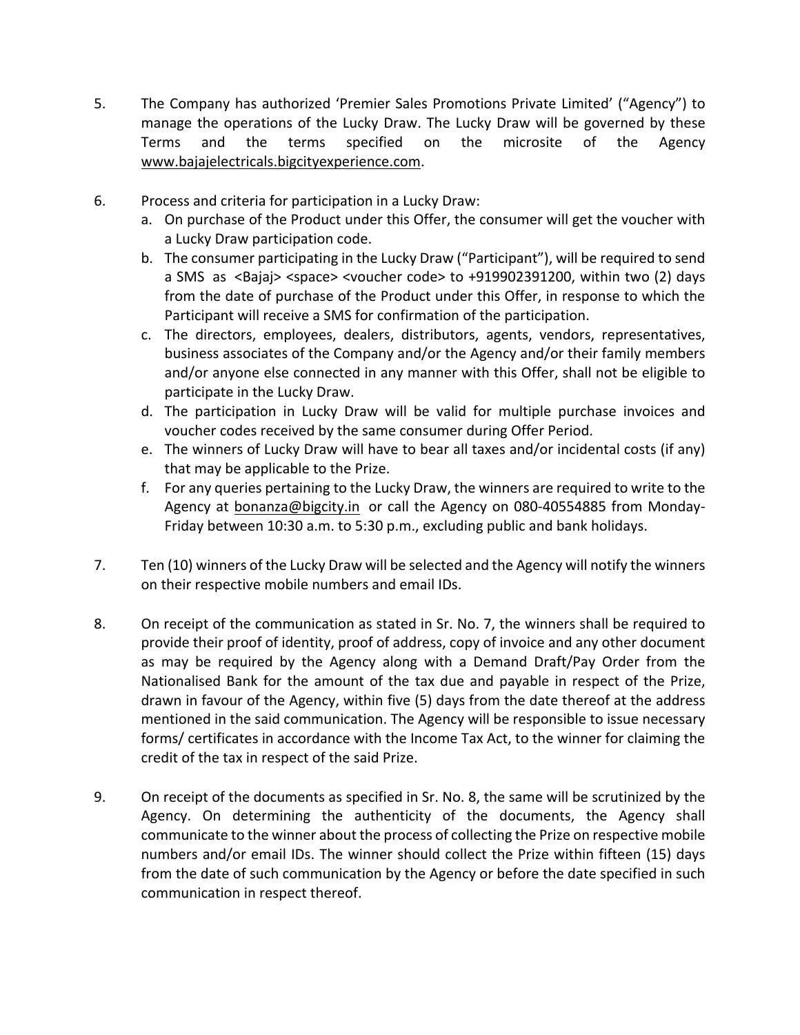- 5. The Company has authorized 'Premier Sales Promotions Private Limited' ("Agency") to manage the operations of the Lucky Draw. The Lucky Draw will be governed by these Terms and the terms specified on the microsite of the Agency www.bajajelectricals.bigcityexperience.com.
- 6. Process and criteria for participation in a Lucky Draw:
	- a. On purchase of the Product under this Offer, the consumer will get the voucher with a Lucky Draw participation code.
	- b. The consumer participating in the Lucky Draw ("Participant"), will be required to send a SMS as <Bajaj> <space> <voucher code> to +919902391200, within two (2) days from the date of purchase of the Product under this Offer, in response to which the Participant will receive a SMS for confirmation of the participation.
	- c. The directors, employees, dealers, distributors, agents, vendors, representatives, business associates of the Company and/or the Agency and/or their family members and/or anyone else connected in any manner with this Offer, shall not be eligible to participate in the Lucky Draw.
	- d. The participation in Lucky Draw will be valid for multiple purchase invoices and voucher codes received by the same consumer during Offer Period.
	- e. The winners of Lucky Draw will have to bear all taxes and/or incidental costs (if any) that may be applicable to the Prize.
	- f. For any queries pertaining to the Lucky Draw, the winners are required to write to the Agency at bonanza@bigcity.in or call the Agency on 080‐40554885 from Monday‐ Friday between 10:30 a.m. to 5:30 p.m., excluding public and bank holidays.
- 7. Ten (10) winners of the Lucky Draw will be selected and the Agency will notify the winners on their respective mobile numbers and email IDs.
- 8. On receipt of the communication as stated in Sr. No. 7, the winners shall be required to provide their proof of identity, proof of address, copy of invoice and any other document as may be required by the Agency along with a Demand Draft/Pay Order from the Nationalised Bank for the amount of the tax due and payable in respect of the Prize, drawn in favour of the Agency, within five (5) days from the date thereof at the address mentioned in the said communication. The Agency will be responsible to issue necessary forms/ certificates in accordance with the Income Tax Act, to the winner for claiming the credit of the tax in respect of the said Prize.
- 9. On receipt of the documents as specified in Sr. No. 8, the same will be scrutinized by the Agency. On determining the authenticity of the documents, the Agency shall communicate to the winner about the process of collecting the Prize on respective mobile numbers and/or email IDs. The winner should collect the Prize within fifteen (15) days from the date of such communication by the Agency or before the date specified in such communication in respect thereof.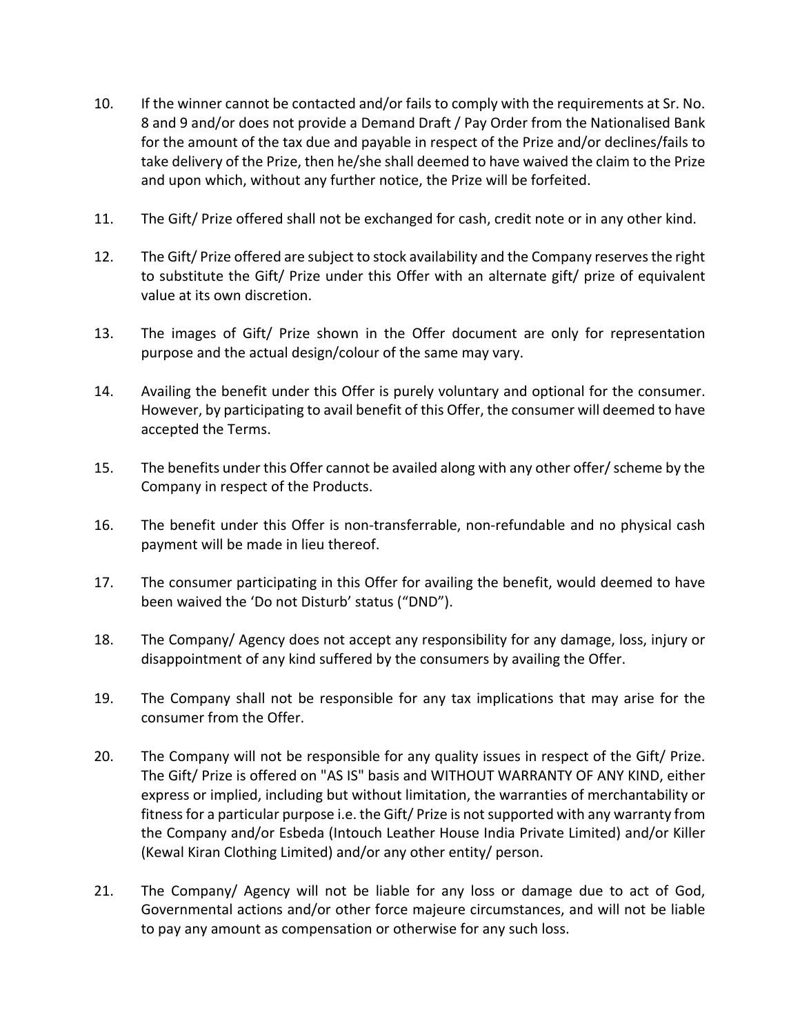- 10. If the winner cannot be contacted and/or fails to comply with the requirements at Sr. No. 8 and 9 and/or does not provide a Demand Draft / Pay Order from the Nationalised Bank for the amount of the tax due and payable in respect of the Prize and/or declines/fails to take delivery of the Prize, then he/she shall deemed to have waived the claim to the Prize and upon which, without any further notice, the Prize will be forfeited.
- 11. The Gift/ Prize offered shall not be exchanged for cash, credit note or in any other kind.
- 12. The Gift/ Prize offered are subject to stock availability and the Company reservesthe right to substitute the Gift/ Prize under this Offer with an alternate gift/ prize of equivalent value at its own discretion.
- 13. The images of Gift/ Prize shown in the Offer document are only for representation purpose and the actual design/colour of the same may vary.
- 14. Availing the benefit under this Offer is purely voluntary and optional for the consumer. However, by participating to avail benefit of this Offer, the consumer will deemed to have accepted the Terms.
- 15. The benefits under this Offer cannot be availed along with any other offer/ scheme by the Company in respect of the Products.
- 16. The benefit under this Offer is non-transferrable, non-refundable and no physical cash payment will be made in lieu thereof.
- 17. The consumer participating in this Offer for availing the benefit, would deemed to have been waived the 'Do not Disturb' status ("DND").
- 18. The Company/ Agency does not accept any responsibility for any damage, loss, injury or disappointment of any kind suffered by the consumers by availing the Offer.
- 19. The Company shall not be responsible for any tax implications that may arise for the consumer from the Offer.
- 20. The Company will not be responsible for any quality issues in respect of the Gift/ Prize. The Gift/ Prize is offered on "AS IS" basis and WITHOUT WARRANTY OF ANY KIND, either express or implied, including but without limitation, the warranties of merchantability or fitness for a particular purpose i.e. the Gift/ Prize is not supported with any warranty from the Company and/or Esbeda (Intouch Leather House India Private Limited) and/or Killer (Kewal Kiran Clothing Limited) and/or any other entity/ person.
- 21. The Company/ Agency will not be liable for any loss or damage due to act of God, Governmental actions and/or other force majeure circumstances, and will not be liable to pay any amount as compensation or otherwise for any such loss.